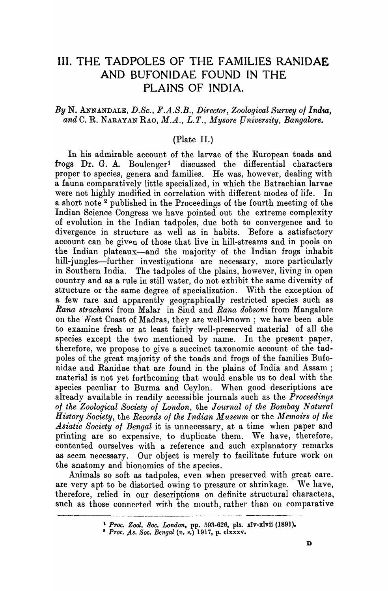# **III. THE TADPOLES OF THE FAMILIES RANIDAE AND BUFONIDAE FOUND IN THE PLAINS OF INDIA.**

## By N. ANNANDALE, D.Sc., F.A.S.B., Director, Zoological Survey of India, and C. R. NARAYAN RAO, *M.A., L.T., Mysore University, Bangalore.*

## (Plate II.)

In his admirable account of the larvae of the European toads and frogs Dr. G. A. Boulenger<sup>1</sup> discussed the differential characters proper to species, genera and families. He was, however, dealing with a fauna comparatively little specialized, in which the Batrachian larvae were not highly modified in correlation with different modes of life. In a short note 2 published in the Proceedings of the fourth meeting of the Indian Science Congress \ve have pointed out the extreme complexity of evolution in the Indian tadpoles, due both to convergence and to divergence in structure as well as in habits. Before a satisfactory account can be given of those that live in hill-streams and in pools on the Indian plateaux-and the majority of the Indian frogs inhabit hill-jungles-further investigations are necessary, more particularly in Southern India. The tadpoles of the plains, however, living in open country and as a rule in still water, do not exhibit the same diversity of structure or the same degree of specialization. With the exception of a few rare and apparently geographically restricted species such as *Rana strachani* from Malar in Sind and *Rana dobsoni* from Mangalore on the West Coast of Madras, they are well-known; we have been able to examine fresh or at least fairly well-preserved material of all the species except the two mentioned by name. In the present paper, therefore, we propose to give a succinct taxonomic account of the tadpoles of the great majority of the toads and frogs of the families Bufonidae and Ranidae that are found in the plains of India and Assam; material is not yet forthcoming that would enable us to deal with the species peculiar to Burma and Ceylon. When good descriptions are already available in readily accessible journals such as the *Proceedings of the Zoological Society of London,* the *Journal 01 the Bombay Natural History Society,* the *Records 01 the Irndian Museum* or the *Memoirs 01 tile Asiatic Society 01 Bengal* it is unnecessary, at a time when paper and printing are so expensive, to duplicate them. We have, therefore, contented ourselves with a reference and such explanatory remarks as seem necessary. Our object is merely to facilitate future work on the anatomy and bionomics of the species.

Animals so soft as tadpoles, even when preserved with great care, are very apt to be distorted owing to pressure or shrinkage. We have, therefore, relied in our descriptions on definite structural characters. such as those connected with the mouth, rather than on comparative

---- ------- - -~-

<sup>1</sup> *Proc. Zool. Soc. London,* pp. 593.626, pIs. xIv-xlvii (1891).

<sup>&</sup>lt;sup>2</sup> Proc. As. Soc. Bengal (n. s.) 1917, p. clxxxv.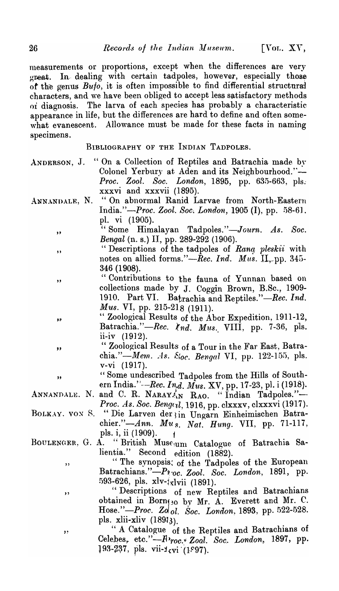measurements or proportions, except when the differences are very great. In dealing with certain tadpoles, however, especially those of the genus  $Buto$ , it is often impossible to find differential structural characters, and we have been obliged to accept less satisfactory methods oi diagnosis. The larva of each species' has probably a characteristic appearance in life, but the differences are hard to define and often some what evanescent. Allowance must be made for these facts in naming specimens.

BIBLIOGRAPHY OF THE INDIAN TADPOLES.

- ANDERSON, J. "On a Collection of Reptiles and Batrachia made by Colonel Yerbury at Aden and its Neighbourhood."-*Proc. Zool. Soc. London,* 1895, pp. 635-663, pIs., xxxvi and xxxvii (1895).
- ANNANDALE, N. "On abnormal Ranid Larvae from North-Eastern India."-Proc. Zool. Soc. London, 1905 (I), pp. 58-61. pl. vi (1905).
	- "Some Himalayan Tadpoles. *"-Journ. As. Soc. Bengal* (n. s.) II, pp. 289-292 (1906).
	- "Ihscriptions of the tadpoles of *Rang pleskii* with notes on allied forms."-Rec. Ind. Mus. II<sub>,-</sub>pp. 345-346 (1908).
	- "Contributions to the fauna of Yunnan based on collections made by J. Coggin Brown, B.Sc., 1909- 1910. Part VI. Batrachia and Reptiles."—Rec. *Ind. Mus. VI, pp. 215-218 (1911).*
	- " Zoological Results of the Abor Expedition, 1911-12, Batrachia."-Rec. *knd. Mus. VIII*, pp. 7-36, pls. ii-iv (1912).
		- " Zoological Results' of a Tour in the Far East, Batrachia."-*Mem. As. S<sub>toc.</sub> Bengal VI*, pp. 122-155, pls. V-VI (1917).
	- <sup>1</sup>, some undescribed Tadpoles from the Hills of Bodul-<br>ern India.''--Rec. Ind. Mus. XV, pp. 17-23, pl. i (1918). " Some undescribed Tadpoles from the Hills of South-
- ANNANDALE. N. and C. R. NARAYAN RAO. "Indian Tadpoles."-*Proc. As. Soc. Beng(ll,* 1916, pp. clxxxv, clxxxvi (1917).
- BOLKAY. VON S. "Die Larven der ; in Ungarn Einheimischen Batrachier."-Ann. *Mu* s. *Nat. Hung.* VII, pp. 71-117, pls. i, ii (1909).  $\arrow$  1
- BOULENGER, G. A. "British Muse<sub>um</sub> Catalogue of Batrachia Salientia." Second edition (1882).
	- " The synopsis; of the Tadpoles of the European Batrachians."-P1.oc. Zool. Soc. London, 1891, pp. 593-626, pls.  $xlv-1$ <sub>xl</sub>vii (1891).
	- "Descriptions of new Reptiles and Batrachians obtained in Born $_{1,0}$  by Mr. A. Everett and Mr. C. Hose."-Proc. Zol<sub>ol.</sub> Soc. London, 1893, pp. 522-528. pls. xlii-xliv (18913).
	- " A Catalogue of the Reptiles and Batrachians of Celebes, etc." $-R$ 'roc. Zoal. Soc. London, 1897, pp. 193-237, pls. vii- $\frac{1}{5}$ vi (1997).

"

"

"

",

"

- -
	- "

"

"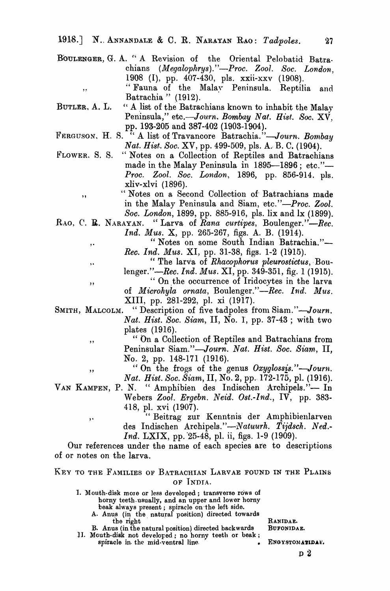1918.] N. ANNANDALE & C. R. NARAYAN RAO: *Tadpoles.* 27

- BOULENGER, G. A. "A Revision of the Oriental Pelobatid Batra. chians *(Megalophrys)."-Proc. Zool. Soc. London,*  1908 (I), pp. 407-430, pIs. xxii-xxv (1908). "Fauna of the Malay Peninsula. Reptilia and Batrachia " (1912).
- BUTLER, A. L. " A list of the Batrachians known to inhabit the Malay Peninsula," etc.-Journ. Bombay Nat. Hist. Soc. XV. pp. 193-205 and 387-402 (1903-1904).
- FERGUSON, H. S.<sup>77</sup> A list of Travancore Batrachia."-Journ. Bombay *Nat. Hist. Soo.* XV, pp. 499-509, pIs. A.· B. C. (1904).
- FLOWER, S. S. "Notes on a Collection of Reptiles and Batrachians made in the Malay Peninsula in 1895-1896; etc."-*Proc. Zool. Soc. London,* 1896, pp. 856-914. pIs. xliv-xlvi (1896).
	- .. " Notes on a Second Collection of Batrachians made in the Malay Peninsula and Siam, etc."-Proc. Zool. *Soo. London,* 1899, pp. 885-916, pIs. lix and Ix (1899).
- RAO, C. **E.** NARAYAN. "Larva of *Rana curtipes*, Boulenger."-Rec.

,.

,.

"

,,

"

*Ind. Mus.* X, pp. 265-267, figs. A. B. (1914).

" Notes on some South Indian Batrachia."-*Rec. Ind. Mus. XI, pp. 31-38, figs. 1-2 (1915).* 

- " The larva of *Rhacophorus pleurostictus*, Bou-
- lenger."—Rec. *Ind. Mus.* XI, pp. 349-351, fig. 1 (1915).
	- " On the occurrence of Iridocytes in the larva
- of *Microhyla ornata*, Boulenger."-Rec. Ind. Mus. XIII, pp. 281-292, pI. xi (1917).
- SMITH, MALCOLM. "Description of five tadpoles from Siam."-Journ. *Nat. Hist. Soc. Siam,* II, No.1, pp. 37-43 ; with two plates (1916).
	- " On a Collection of Reptiles and Batrachians from Peninsular Siam."-Journ. Nat. Hist. Soc. Siam. II. No.2, pp. 148-171 (1916).
	- "On the frogs of the genus *Oxyglossis."-Journ. Nat. Hist. Soc. Siam, II, No. 2, pp. 172-175, pl. (1916).*
- VAN KAMPEN, P. N. " Amphibien des Indischen Archipels."- In Webers *Zool. Ergebn. Neid. Ost.-Ind.,* IV, pp. 383- 418, pI. xvi (1907).
	- ,. The "Beitrag zur Kenntnis der Amphibienlarven des Indischen *Archipels."-Natuurh. Tiidsch. Ned.- Ind.* LXIX, pp. 25-48, pl. ii, figs. 1-9 (1909).

Our references under the name of each species are to descriptions of or notes on the larva.

## KEY TO THE FAMILIES OF BATRACHIAN LARVAE FOUND IN THE PLAINS OF INDIA.

1. Mouth-disk more or less developed; transverse rows of horny teeth. usually, and an upper and lower horny beak always present; spiracle on ·the left side.

A. Anus (in the natural position) directed towards the right RANIDAE.<br>us (in the natural position) directed backwards BUFONIDAE.

B. Anus (in the natural position) directed backwards 1I. Mouth-disk not developed; no horny teeth or beak; spiracle in the mid-ventral line.  $\sim$  ENGYSTOMATIDAE.

02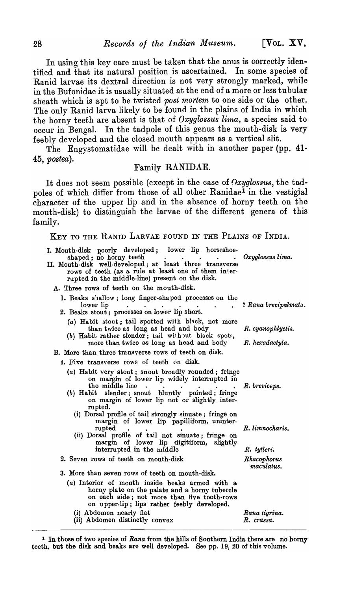In using this key care must be taken that the anus is correctly identified and that its natural position is ascertained. In some species of Ranid larvae its dextral direction is not very strongly marked, while in the Bufonidae it is usually situated at the end of a more or less tubular sheath which is apt to be twisted *post mortem* to one side or the other. The only Ranid larva likely to be found in the plains of India in which the horny teeth are absent is that of *Oxyglossus lima,* a species said to occur in Bengal. In the tadpole of this genus the mouth-disk is very feebly developed and the closed mouth appears as a vertical slit.

The Engystomatidae will be dealt with in another paper (pp. 41-*45, postea).* 

## Family RANIDAE.

It does not seem possible (except in the case of *nxyglossus,* the tadpoles of which differ from those of all other Ranidae<sup>1</sup> in the vestigial character of the upper lip and in the absence of horny teeth on the mouth-disk) to distinguish the larvae of the different genera of this family.

| mny.                                                                                                                                                                                                                                                                                      |                             |
|-------------------------------------------------------------------------------------------------------------------------------------------------------------------------------------------------------------------------------------------------------------------------------------------|-----------------------------|
| KEY TO THE RANID LARVAE FOUND IN THE PLAINS OF INDIA.                                                                                                                                                                                                                                     |                             |
| I. Mouth-disk poorly developed; lower lip horseshoe-<br>shaped; no horny teeth<br>$\bullet$ . The set of $\bullet$<br>II. Mouth-disk well-developed; at least three transverse<br>rows of teeth (as a rule at least one of them inter-<br>rupted in the middle-line) present on the disk. | Oxyglossus lima.            |
| A. Three rows of teeth on the mouth-disk.                                                                                                                                                                                                                                                 |                             |
| 1. Beaks shallow; long finger-shaped processes on the<br>lower lip<br>$\bullet$<br>$\bullet$ .<br>2. Beaks stout; processes on lower lip short.                                                                                                                                           | ? Rana brevipalmata.        |
| (a) Habit stout; tail spotted with black, not more<br>than twice as long as head and body<br>(b) Habit rather slender; tail with out black spots,                                                                                                                                         | R. cyanophlyctis.           |
| more than twice as long as head and body                                                                                                                                                                                                                                                  | R. hexadactyla.             |
| B. More than three transverse rows of teeth on disk.                                                                                                                                                                                                                                      |                             |
| 1. Five transverse rows of teeth on disk.                                                                                                                                                                                                                                                 |                             |
| (a) Habit very stout; snout broadly rounded; fringe<br>on margin of lower lip widely interrupted in<br>the middle line<br>$\cdot$<br>slender; snout bluntly pointed; fringe<br>$(b)$ Habit<br>on margin of lower lip not or slightly inter-<br>rupted.                                    | R. breviceps.               |
| (i) Dorsal profile of tail strongly sinuate; fringe on<br>margin of lower lip papilliform, uninter-<br>rupted<br>(ii) Dorsal profile of tail not sinuate; fringe on<br>margin of lower lip digitiform, slightly                                                                           | R. limnocharis.             |
| interrupted in the middle                                                                                                                                                                                                                                                                 | R. tytleri.                 |
| 2. Seven rows of teeth on mouth-disk                                                                                                                                                                                                                                                      | Rhacophorus<br>maculatus.   |
| 3. More than seven rows of teeth on mouth-disk.                                                                                                                                                                                                                                           |                             |
| (a) Interior of mouth inside beaks armed with a<br>horny plate on the palate and a horny tubercle<br>on each side; not more than five tooth-rows<br>on upper-lip; lips rather feebly developed.                                                                                           |                             |
| (i) Abdomen nearly flat<br>(ii) Abdomen distinctly convex                                                                                                                                                                                                                                 | Rana tigrina.<br>R. crassa. |

<sup>1</sup>In those of two species of *Rana* from the hills of Southern India there are no horny teeth. but the disk and beaks are well developed. See pp. 19, 20 of this volume.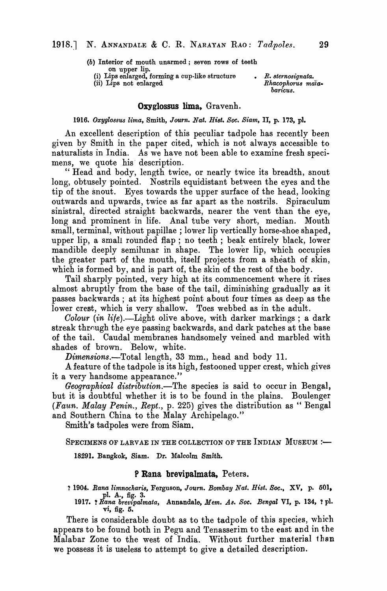(b) Interior of mouth unarmed; seven rows of teeth on upper lip. (i) Lips enlarged. forming a cup-like structure

(ii) Lips not enlarged

*• R. sternosignata.*  Rhacophorus maia*baricu8.* 

#### Oxyglossus lima, Gravenh.

#### *1916. OXygl08sus lima,* Smith, *Journ. Nat. Hist. Soc. Siam,* II, p. 173, pl.

An excellent description of this peculiar tadpole has recently been given by Smith in the paper cited, which is not always accessible to naturalists in India. As we have not been able to examine fresh specimens, we quote his description.

" Head and body, length twice, or nearly twice its breadth, snout long, obtusely pointed. Nostrils equidistant between the eyes and the tip of the snout. Eyes towards the upper surface of the head, looking outwards and upwards, twice as far apart as the nostrils. Spiraculum sinistral, directed straight backwards, nearer the vent than the eye, long and prominent in life. Anal tube very short, median. Mouth small, terminal, without papillae; lower lip vertically horse-shoe shaped, upper lip, a small rounded flap; no teeth; beak entirely black, lower mandible deeply semilunar in shape. The lower lip, which occupies the greater part of the mouth, itself projects from a sheath of skin, which is formed by, and is part of, the skin of the rest of the body.

Tail sharply pointed, very high at its commencement where it rises almost abruptly from the base of the tail, diminishing gradually as it passes backwards; at its highest point about four times as deep as the lower crest, which is very shallow. Toes webbed as in the adult.

*Colour (in life).*—Light olive above, with darker markings; a dark streak through the eye passing backwards, and dark patches at the base of the tail. Caudal membranes handsomely veined and marbled with shades of brown. Below, white.

 $Dimensions. -Total length, 33 mm., head and body 11.$ 

A feature of the tadpole is its high, festooned upper crest, which gives it a very handsome appearance."

*Geographical distribution.-The* species is said to occur in Bengal, but it is doubtful whether it is to be found in the plains. Boulenger *(Faun. Malay Penin., Rept.,* p. 225) gives the distribution as " Bengal and Southern China to the Malay Archipelago."

Smith's tadpoles were from Sjam.

SPECIMENS OF LARVAE IN THE COLLECTION OF THE INDIAN  $M$ USEUM :-

18291. Bangkok, Siam. Dr. Malcolm Smith.

#### P Rana brevipalmata, Peters.

? 1904. Rana limnocharis, Ferguson, Journ. Bombay Nat. Hist. Soc., XV, p. 501, pl. A., fig. 3.

1917. ! *Rana brevipalmata,* Annandale, *Mem. As. Soc. Bengal* VI, p. 134, t pl. vi, fig. 6.

There is considerable doubt as to the tadpole of this species, which appears to be found both in Pegu and Tenasserim to the east and in the Malabar Zone to the west of India. Without further material than we possess it is useless to attempt to give a detailed description.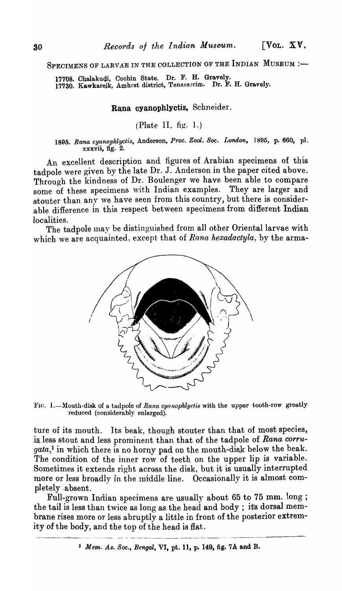SPECIMENS OF LARVAE IN THE COLLECTION OF THE INDIAN MUSEUM :-

17708. ChaJakudi, Cochin State. Dr. F. H. Gravely. 17730. Kawkarejk, Amhrst district, Tenasserim. Dr. F. H. Gravely.

# Rana cyanophlyctis, Schneider.

## (Plate II, fig. 1.)

*1895. Rana cyanophlyctis,* Anderson, *Proc. Zool. Soc. London,* 1895, p. 660, pI. xxxvii, fig. 2.

An excellent description and figures of Arabian specimens. of this tadpole were given by the late Dr. J. Anderson in the paper cited above. Through the kindness of Dr. Boulenger we have been able to compare some of these specimens with Indian examples. They are larger and stouter than any we have seen from this country, but there is considerable difference in this respect between specimens from different Indian localities.

The tadpole may be distinguished from all other Oriental larvae with which we are acquainted, except that of *Rana hexadactyla*, by the arma-



FIC. 1.-Mouth-disk of a tadpole of *Rana cyanophlyclis* with the upper tooth-row greatly reduced (considerably enlarged),

ture of its mouth. Its beak, though stouter than that of most species, . is. less stout and less prominent than that of the tadpole of *Rana corru*gata,<sup>1</sup> in which there is no horny pad on the mouth-disk below the beak. The condition of the inner row of teeth on the upper lip is variable. Sometimes it extends right across the disk, but it is usually interrupted more or less broadly in the middle line. Occasionally it is almost completely ,absent.

Full-grown Indian specimens are usually about 65 to 75 mm. long; the tail is less than twice as long as the head and body; its dorsal mem brane rises more or less abruptly a little in front of the posterior extremity of the body, and the top of the head is flat.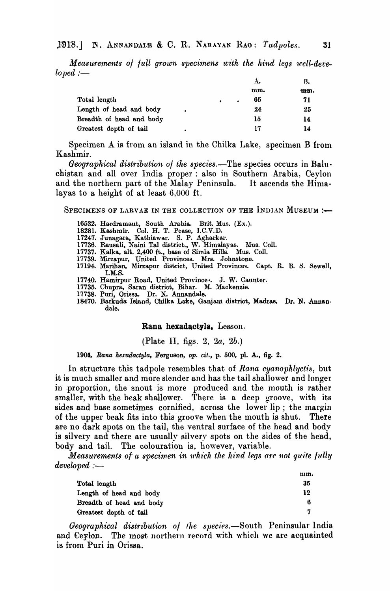*Measurements of full grown specimens with the hind legs well-deve-* $$ 

|                          |  | А.              | В.  |
|--------------------------|--|-----------------|-----|
|                          |  | mm.             | mm. |
| Total length             |  | 65<br>$\bullet$ | 71  |
| Length of head and body  |  | 24              | 25  |
| Breadth of head and body |  | 1ŏ              | 14  |
| Greatest depth of tail   |  | 17              | 14  |

Specimen A is from an island in the Chilka Lake, specimen B from Kashmir.

*Geographical distribution of the species.*—The species occurs in Baluchistan and all over India proper: also in Southern Arabia, Ceylon and the northern part of the Malay Peninsula. It ascends the Himalayas to a height of at least 6,000 ft.

SPECIMENS OF LARVAE IN THE COLLECTION OF THE INDIAN MUSEUM : $\leftarrow$ 

- 16532. Hardramaut, South Arabia. Brit. Mus. (Ex.).
- 18281. Kashmir. Col. H. T. Pease, I.C.V.D.
- 17247. Junagara., Kathiawar. S. P. Agharkar.
- 17736. Rausali, Naini Tal district., W. Himalayas. 'Mus. CoIl.
- 17737. Kalka, alt. 2,400 ft., base of Simla Hills. Mus. ColI.
- 17739. Mirzapur, United Provinces. Mrs. Johnstone.
- 17194. Marihan, Mirzapur district, United Provincec;. Capt. R. B. *S.* Sewell, I.M.S.
- 17740. Hamirpur Road, United Provinces. J. W. Caunter.
- 17735. Chupra, Saran district, Bihar. M. Mackenzie.
- 17738. Puri, Orissa. Dr. N. Annandale.
- 18470. Barkuda Island, Chilka Lake, Ganjam district, Madras. Dr. N. Annandale.

#### Rana hexadactyla, Lesson.

(Plate II, figs. 2, *2a, 2b.)* 

*1901. Rana hexadactyla,* Ferguson, *op. cit.,* p. 500, pI. A., fig. 2.

In structure this tadpole resembles that of *Rana cyanophlyctis*, but it is much smaller and more slender and has the tail shallower and longer in proportion, the snout is more produced and the mouth is rather smaller, with the beak shallower. There is a deep groove, with its sides and base sometimes cornified, across the lower lip; the margin of the upper beak fits into this groove when the mouth is shut. There are no dark spots on the tail, the ventral surface of the head and body is silvery and there are usually silvery spots on the sides of the head, body and tail. The colouration is, however, variable.

*Measurements of a specimen in which the hind legs are not quite fully* developed :-

|                          | mm. |
|--------------------------|-----|
| Total length             | 35  |
| Length of head and body  | 12  |
| Breadth of head and body |     |
| Greatest depth of tail   |     |

*Geographical distribution of the species.*—South Peninsular India and Ceylon. The most northern record with which we are acquainted is from 'Puri in Orissa.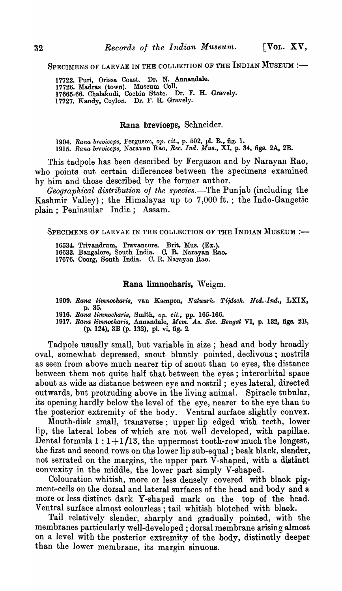SPECIMENS OF LARVAE IN THE COLLECTION OF THE INDIAN MUSEUM :-

17722. Puri, Orissa Coast. Dr. N. Annandale. 17726. Madras (town). Museum CoIl. 17665.66. Chalakudi, Cocbin State. Dr. F. H. Gravely. 17727. Kandy, Ceylon. Dr. F. H. Gravely.

#### Rana breviceps, Schneider.

1904. Rana breviceps, Ferguson, op. cit., p. 502, pl. B., fig. 1. *1915. Rana brevieeps,* Naravan Rao, *Ree. Ind. Mus.,* XI, p. 34, figs. 2A, 2B.

This tadpole has been described by Ferguson and by Narayan Rao, who points out certain differences between the specimens examined by him and those described by the former author.

*Geographical distribution of the species.*—The Punjab (including the Kashmir Valley) ; the Himalayas up to 7,000 ft. ; the Indo-Gangetic plain; Peninsular India; Assam.

SPECIMENS OF LARVAE IN THE COLLECTION OF THE INDIAN MUSEUM :-

16534. Trivandrum, Travancore. Brit. Mus. (Ex.). 16633. Bangalore, South India. C. R. Narayan Rao. 17676. Coorg, South India. C. R. Narayan Rao.

#### Rana limnocharis, Weigm.

*1909. Rana limnockaris,* van Kampen, *Natuurh. Tijdsch. Ned.·lnd.,* LXIX, p. 35.

*1916. Rana limnocharis,* Smith, *Ope cit.,* pp. 165·166.

*1917. Rana limnocharis,* Annandale, *Mem. As. Soc. Bengal* VI, p. 132, figs. 2B, (p. 124), 3B (p. 132), pl. vi, fig. 2.

Tadpole usually small, but variable in size; head and body broadly oval, somewhat depressed, snout bluntly pointed, declivous; nostrils as seen from above much nearer tip of snout than to eyes, the distance between them not quite half that between the eyes; interorbital space about as wide as distance between eye and nostril; eyes lateral, directed outwards, but protruding above in the living animal. Spiracle tubular. outwards, but protruding above in the living animal. its opening hardly below the level of the eye, nearer to the eye than to the posterior extremity of the body. Ventral surface slightly convex.

Mouth-disk small, transverse; upper lip edged with. teeth, lower lip, the lateral lobes of which are not well developed, with papillae. Dental formula  $1:1+1/13$ , the uppermost tooth-row much the longest, the first and second rows on the lower lip sub-equal; beak black, slender, not serrated on the margins, the upper part V-shaped, with a distinct convexity in the middle, the lower part simply V-shaped.

Colouration whitish, more or less densely covered with black pigment-cells on the dorsal and lateral surfaces of the head and body and a Inore or less distinct dark Y-shaped mark on the top of the head. Ventral surface almost colourless; tail whitish blotched with black.

Tail relatively slender, sharply and gradually pointed, with the membranes particularly well-developed; dorsal membrane arising almost on a level with the posterior extremity of the body, distinctly deeper than the lower membrane, its margin sinuous.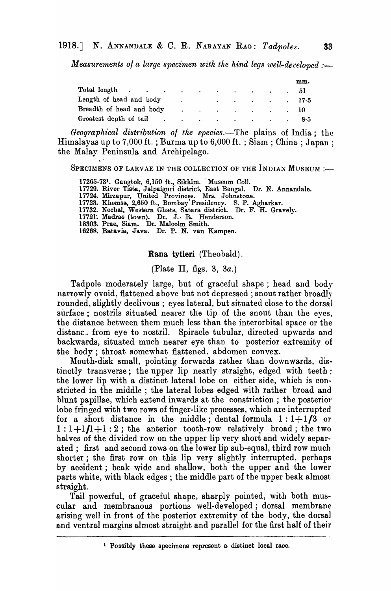*Measurements of a large specimen with the hind legs well-developed :--*

|                                                                                                                     |  |  |  | mm.                                              |
|---------------------------------------------------------------------------------------------------------------------|--|--|--|--------------------------------------------------|
| Total length $\qquad \qquad \ldots \qquad \qquad \ldots \qquad \qquad \ldots \qquad \qquad \ldots \qquad \qquad 51$ |  |  |  |                                                  |
| Length of head and body                                                                                             |  |  |  | $\sim$ $\sim$ $\sim$ $\sim$ $\sim$ $\sim$ $17.5$ |
| Breadth of head and body 10                                                                                         |  |  |  |                                                  |
| Greatest depth of tail 8.5                                                                                          |  |  |  |                                                  |

*Geographical distribution 01 the species.-'1'he* plains of India; the Himalayas up to 7,000 ft.; Burma up to 6,000 ft.; Siam; China; Japan; the Malay Peninsula and Archipelago.

SPECIMENS OF LARVAE IN THE COLLECTION OF THE INDIAN MUSEUM :-

17265-731. Gangtok, 6,150 ft., Sikkim. Museum Coll.

17729. River Tista, Jalpaiguri district, East Bengal. Dr. N. Annandale.

- 17724. Mirzapur, United Provinces. Mrs. Johnstone.
- 17723. Khemsa, 2,650 ft., Bombay·Presidency. S. P. Agharkar.

17732. Nechal, Western Ghats, Satara district. Dr. F. H. Gravely.

17721: Madras (town). Dr. J. R. Henderson.

18303. Prae, Siam. Dr. Malcolm Smith.

16268. Batavia, Java. Dr. P. N. van Kampen.

#### Rana tytleri (Theobald).

## (Plate II, figs. 3, 3a.)

Tadpole moderately large, but of graceful shape; head and body narrowly ovoid, flattened above but not depressed; snout rather broadly rounded, slightly declivous ; eyes lateral, but situated close to the dorsal surface; nostrils situated nearer the tip of the snout than the eyes, the distance between them much less than the interorbital space or the distanc. from eye to nostril. Spiracle tubular, directed upwards and backwards, situated much nearer eye than to posterior extremity of the body; throat somewhat flattened, abdomen convex.

Mouth-disk small, pointing forwards rather than downwards, distinctly transverse; the upper lip nearly straight, edged with teeth; the lower lip with a distinct lateral lobe on either side, which is constricted in the middle; the lateral lobes edged with rather broad and blunt papillae, which extend inwards at the constriction; the posterior lobe fringed with two rows of finger-like processes, which are interrupted for a short distance in the middle; dental formula  $1:1+1/3$  or  $1:1+1/1+1:2$ ; the anterior tooth-row relatively broad; the two halves of the divided row on the upper lip very short and widely separated; first and second rows on the lower lip sub-equal, third row much shorter; the first row on this lip very slightly interrupted, perhaps by accident; beak wide and shallow, both the upper and the lower parts white, with black edges; the middle part of the upper beak almost straight.

Tail powerful, of graceful shape, sharply pointed, with both muscular and membranous portions well-developed; dorsal membrane arising well in front of the posterior extremity of the body, the dorsal and ventral margins almost straight and paralle] for the first half of their

<sup>1</sup> Possibly these specimens represent a distinct local race.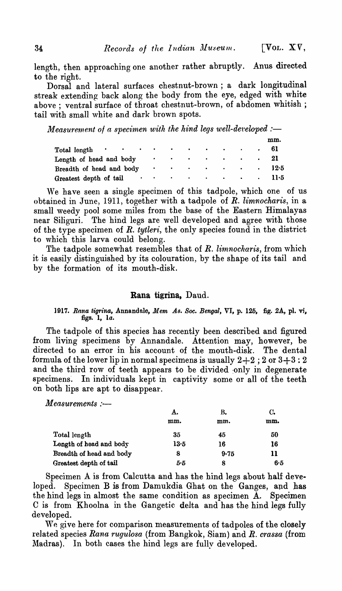length, then approaching one another rather abruptly. Anus directed

to the right.<br>Dorsal and lateral surfaces chestnut-brown; a dark longitudinal streak extending back along the body from the eye, edged with white above; ventral surface of throat chestnut-brown, of abdomen whitish; tail with small white and dark brown spots.

*Measurement of a specimen with the hind legs well-developed :—* 

|                                                                                                                                                                                                                                |      |  |  | mm.           |
|--------------------------------------------------------------------------------------------------------------------------------------------------------------------------------------------------------------------------------|------|--|--|---------------|
| Total length contact the contract of the contract of the contract of the contract of the contract of the contract of the contract of the contract of the contract of the contract of the contract of the contract of the contr |      |  |  |               |
| Length of head and body                                                                                                                                                                                                        | . 21 |  |  |               |
| Breadth of head and body                                                                                                                                                                                                       |      |  |  |               |
| Greatest depth of tail                                                                                                                                                                                                         |      |  |  | $\cdots$ 11.5 |

We have seen a single specimen of this tadpole, which one of us obtained in June, 1911, together with a tadpole of *R. limnocharis,* in a small weedy pool some miles from the base of the Eastern Himalayas near Siliguri. The hind legs are well developed and agree with those of the type specimen of *R. tytleri,* the only species found in the district to which this larva could belong.

The tadpole somewhat resembles that of *R. limnocharis*, from which it is easily distinguished by its colouration, by the shape of its tail and by the formation of its mouth-disk.

#### Rana tigrina, Daud.

### 1917. Rana tigrina, Annandale, Mem As. Soc. Bengal, VI, p. 125, fig. 2A, pl. vi, figs. 1, *lao*

The tadpole of this species has recently been described and figured from living specimens by Annandale. Attention may, however, be directed to an error in his account of the mouth-disk. The dental formula of the lower lip in normal specimens is usually  $2+2$ ; 2 or  $3+3$ : 2 and the third row of teeth appears to be divided only in degenerate specimens. In individuals kept in captivity some or all of the teeth on both lips are apt to disappear.

 $Measurements :=$ 

|                          | А.   | В.   | C.  |
|--------------------------|------|------|-----|
|                          | mm.  | mm.  | mm. |
| Total length             | 35   | 45   | 50  |
| Length of head and body  | 13.5 | 16   | 16  |
| Breadth of head and body | 8    | 9.75 | 11  |
| Greatest depth of tail   | 5•Б  | 8    | 6.5 |

Specimen A is from Calcutta and has the hind legs about half-developed. Specimen B is from Damukdia Ghat on the Ganges, and has the hind legs in almost the same condition as specimen A. Specimen C is from Khoolna in the Gangetic. delta and has the hind legs fully developed.

We give here for comparison measurements of tadpoles of the closely related species Rana rugulosa (from Bangkok, Siam) and R. crassa (from Madras). In both cases the hind legs are fully developed.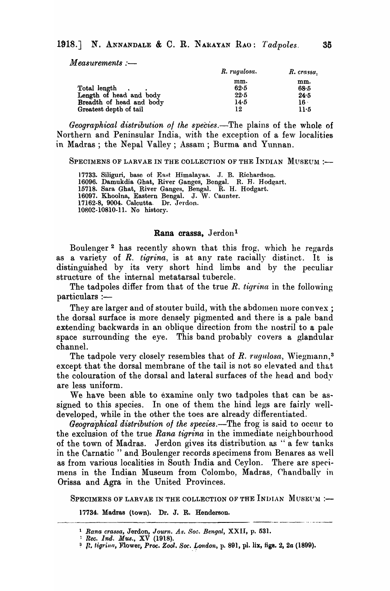$Measurements :=$ 

|                          | R. rugulosa. | R. crassa. |
|--------------------------|--------------|------------|
|                          | mm.          | mm.        |
| Total length             | 62.5         | 68.5       |
| Length of head and body  | 22.5         | 24.5       |
| Breadth of head and body | 14.5         | 16 -       |
| Greatest depth of tail   | 12           | 11.5       |

*Geographical distribution of the species*.—The plains of the whole of Northern and Peninsular India, with the exception of a few localities in Madras; the Nepal Valley; Assam; Burma and Yunnan.

SPECIMENS OF LARVAE IN THE COLLECTION OF THE INDIAN MUSEUM :-

17733. Siliguri, base of East Himalayas. J. B. Richardson. 16096. Damukdia Ghat, River Ganges, Bengal. R. H. Hodgart. 15718. Sara Ghat, River Ganges, Bengal. R. H. Hodgart. . 16097. Khoolna, Eastern Bengal. J. W. Caunter. 17162-8, 9004. Calcutta. Dr. Jerdon. 10802-10810-11. No history.

#### Rana crassa, Jerdon<sup>1</sup>

Boulenger<sup>2</sup> has recently shown that this frog, which he regards as a variety of R. *tigrina,* is at any rate racially distinct. It is distinguished by its very short hind limbs and by the peculiar structure of the internal metatarsal tubercle.

The tadpoles differ from that of the true R. *t'igrina* in the following particulars :-

They are larger and of stouter build, with the abdomen more convex; the dorsal surface is more densely pigmented and there is a pale band extending backwards in an oblique direction from the nostril to a pale space surrounding the eye. This band probably covers a glandular channel.

The tadpole very closely resembles that of *R. rugulosa*, Wiegmann,<sup>3</sup> except that the dorsal membrane of the tail is not so elevated and that the colouration of the dorsal and lateral surfaces of the head and body are less uniform. .

We have been able to examine only two tadpoles that can be assigned to this species. In one of them the hind legs are fairly welldeveloped, while in the other the toes are already differentiated.

*Geographical distribution of the species.*—The frog is said to occur to the exclusion of the true *Rana tigrina* in the immediate neighbourhood of the town of Madras. Jerdon gives its distribution as "a few tanks in the Carnatic " and Boulenger records specimens from Benares as well as from various localities in South, India and Ceylon. There are specimens in the Indian Museum from Colombo, Madras, Chandbally in Orissa and Agra in the United Provinces.

SPECIMENS OF LARVAE IN THE COLLECTION OF THE INDIAN MUSEUM :--

17734. Madras (town). Dr. J. R. Henderson.

<sup>&</sup>lt;sup>1</sup> Rana crassa, Jerdon, *Journ. As. Soc. Bengal*, XXII, p. 531.

<sup>!</sup> *Ree. Ind. Mus.,* XV (1918).

<sup>&</sup>lt;sup>3</sup> *P. tigrina, Flower, Proc. Zool. Soc. London*, p. 891, pl. lix, figs. 2, 2a (1899).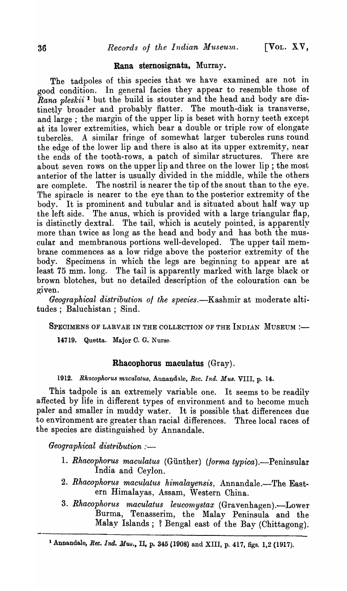#### Rana sternosignata, Murray.

The tadpoles of this species that we have examined are not in good condition. In general facies they appear to resemble those of *Rana pleskii*<sup>1</sup> but the build is stouter and the head and body are distinctly broader and probably flatter. The mouth-disk is transverse, and large; the margin of the upper lip is beset with horny teeth except at its lower extremities, which bear a double or triple row of elongate tubercles. A similar fringe of somewhat larger tubercles runs round the edge of the lower lip and there is also at its upper extremity, near the ends of the tooth-rows, a patch of similar structures. There are about seven rows on the upper lip and three on the lower lip; the most anterior of the latter is usually divided in the middle, while the others are complete. The nostril is nearer the tip of the snout than to the eye. The spiracle is nearer to the eye than to the posterior extremity of the body. It is prominent and tubular and is situated about half way up the left side. The anus, which is provided with a large triangular flap, is distinctly dextral. The tail, which is acutely pointed, is apparently more than twice as long as the head and body and has both the muscular and membranous portions well-developed. The upper tail membrane commences as a low ridge above the posterior extremity of the body. Specimens in which the legs are beginning to appear are at least 75 mm. long. The tail is apparently marked with large black or brown blotches, but no detailed description of the colouration can be given.

*Geographical distribution of the species.*—Kashmir at moderate altitudes; Baluchistan; Sind.

SPECIMENS OF LARVAE IN THE COLLECTION OF THE INDIAN MUSEUM :-

14719. Quetta. Major C. G. Nurse.

#### Rhacophorus maculatus (Gray).

1912. Rhacophorus maculatus, Annandale, *Rec. Ind. Mus.* VIII, p. 14.

This tadpole is an extremely variable one. It seems to be readily affected by life in different types of environment and to become much paler and smaller in muddy water. It is possible that differences due to environment are greater than racial differences. Three local races of the species are distinguished by Annandale.

*Geographical distribution* :-

- 1. *Rhacophorus maculatus (Günther) (forma typica).*—Peninsular India and Ceylon.
- 2. Rhacophorus maculatus himalayensis, Annandale.-The Eastern Himalayas, Assam, Western China.
- 3. Rhacophorus maculatus leucomystax (Gravenhagen).-Lower Burma, Tenasserim, the Malay Peninsula and the Malay Islands; ? Bengal east of the Bay (Chittagong).

<sup>&</sup>lt;sup>1</sup> Annandale, *Rec. Ind. Mus.*, II, p. 345 (1908) and XIII, p. 417, figs. 1,2 (1917).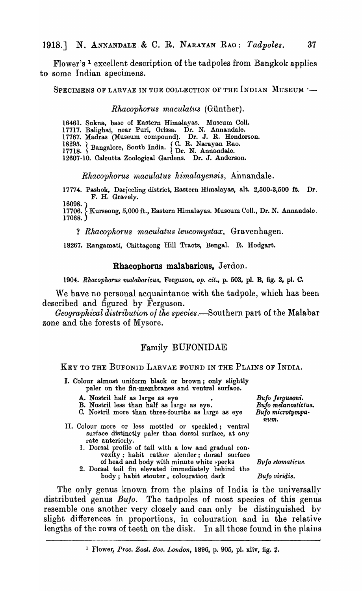Flower's 1 excellent description of the tadpoles from Bangkok applies to some Indian specimens.

SPECIMENS OF LARVAE IN THE COLLECTION OF THE INDIAN MUSEUM :--

#### *Rhacophorus maculatus* (Günther).

16461. Sukna, base of Eastern Himalayas. Museum Coll.

17717. BaIighai, near Puri, Orissa. Dr. N. Annandale.

17767. Madras (Museum compound). Dr. J. R. Henderson.

18295. (Bangalore, South India.  $\left\{\begin{matrix} C. & R. & \text{Narayan Rao.} \\ Dr. & N. & \text{Annandale.} \end{matrix}\right\}$ 

12607-10. Calcutta Zoological Gardens. Dr. J. Anderson.

*Rhacophorus maculatus himalayensis,* Annandale.

17774. Pasbok, Darjeeling district, Eastern Himalayas, alt. 2,500·3,500 ft, Dr. F. H. Gravelv.

16098. (Kurseong, 5,000 ft., Eastern Himalayas. Museum Coll., Dr. N. Annandale. 17068.

? *Rhacophorus maculatus leucomystax*, Gravenhagen.

18267. Rangamati, Chittagong Hill Tracts, Bengal. R. Hodgart.

#### Rhacophorus malabaricus, Jerdon.

1904. *Rhacophorus malabaricus,* Ferguson, *Ope cit.,* p. 503, pI. B, fig. 3, pl. C.

We have no personal acquaintance with the tadpole, which has been described and figured by Ferguson.

*Geographical distribution of the species.-Southern* part of the Malabar zone and the forests of Mysore.

## Family BUFONIDAE

## KEY TO THE BUFONID LARVAE FOUND IN THE PLAINS OF INDIA.

- I. Colour almost uniform black or brown; only slightly paler on the fin-membranes and ventral surface.
	- A. Nostril half as large as eye
	- B. Nostril less than half as large as eye.

C. Nostril more than three-fourths as large as eye

- II. Colour more or less mottled or speckled; ventral surface distinctly paler than dorsal surface, at any rate anteriorly.
	- 1. Dorsal profile of tail with a low and gradual convexity; habit rather slender; dorsal surface of head and body with minute white specks

2. Dorsal tail fin elevated immediately behind the body; habit stouter. colouration dark

*Bufo Jergusoni. Bufo melanostictus. Bu/o microtympanum.* 

Bufo stomaticus.

*Bufo viridis.* 

The only genus known from the plains of India is the universally distributed genus *Bufo*. The tadpoles of most species of this genus resemble one another very closely and can only be distinguished by slight differences in proportions, in colouration and in the relative lengths of the rows of teeth on the disk. In all those found in the plains

<sup>1</sup> Flower, Proc. Zool. Soc. London, 1896, p. 905, pl. xliv, fig. 2.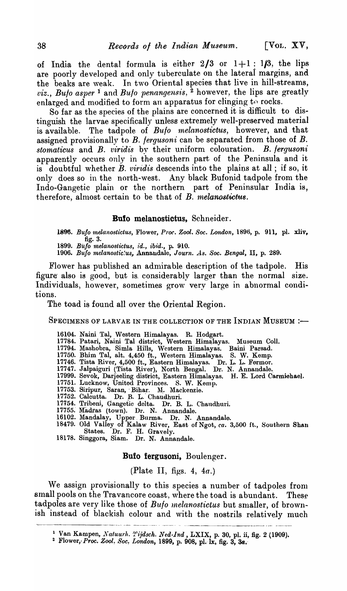of India the dental formula is either  $2/3$  or  $1+1$ :  $1/3$ , the lips are poorly developed and only tuberculate on the lateral margins, and the beaks are weak. In two Oriental species that live in hill-streams, *viz., Bulo asper*<sup>1</sup> and *Bulo penangensis*, <sup>2</sup> however, the lips are greatly enlarged and modified to form an apparatus for clinging to rocks.

So far as the species of the plains are concerned it is difficult to distinguish the larvae specifically unless extremely well-preserved material is available. The tadpole of *Bulo melanostictus,* however, and that assigned provisionally to *B. lergusoni* can be separated from those of *B. stomaticus* and *B. viridis* by their uniform colouration. *B. lergusoni*  apparently occurs only in the southern part of the Peninsula and it is doubtful whether *B. viridis* descends into the plains at all ; if so, it only does so in the north-west. Any black Bufonid tadpole from the Indo-Gangetic plain or the northern part of Peninsular India is, therefore, almost certain to be that of *B. melanostictus*.

## Bufo melanostictus, Schneider.

*1896. Bufo melanostictus,* Flower, *Pror. Zool. Soc. London,* 1896, p. 911, pl. xliv, fig. 3.

1899. Bufo melanostictus, id., ibid., p. 910.

*1906. Bufo melanostic:us,* Annandale, *J ourn. As. Soc. Benga}"* II, p. 289.

Flower has published an admirable description of the tadpole. His figure' also is good, but is: considerably larger than the normal size. Individuals, however, sometimes grow very large in abnormal conditions.

The toad is found all over the Oriental Region.

SPECIMENS OF LARVAE IN THE COLLECTION OF THE INDIAN MUSEUM :-

- 16104. Naini Tal, Western Himalayas. R. Hodgart.
- 17784. Patari, Naini Tal district, Western Himalayas. Museum Coll.
- 17794. Mashobra, Simla Hills, Western Himalayas. Baini Parsad.
- 17750. Bhim Tal, alt. 4,450 ft., Western Himalayas. S. W. Kemp.
- 17746. Tista River, 4,500 ft., Eastern Himalayas. Dr. L. L. Fermor.
- 17747. Jalpaiguri (Tista River), North Bengal. Dr. N. Annandale.
- 17999. Sevok, Darjeeling district, Eastern Himalayas. H. E. Lord Carmiehael.
- 17751. Lucknow, United Provinces. S. W. Kemp.
- 17753. Siripur, Saran, Bihar. M. Mackenzie.
- 17152. Calcutta. Dr. B. L. Chaudhuri.
- 17754. Tribeni, Gangetic delta. Dr. B. L. Chaudhuri.
- 17755. Madras (town). Dr. N. Annandale.
- 16102. Mandalay, Upper, Burma. Dr. N. Annandale.
- 18479. Old Valley of Kalaw River, East of Ngot, *ca.* 3,500 ft., Southern Shan States. Dr. F. H. Gravely.
- 18178. Singgora, Siam. Dr. N. Annandale.

#### Bufo fergusoni, Boulenger.

## (Plate II, figs. 4,  $4a$ .)

We assign provisionally to this species a number of tadpoles from small pools on the Travancore coast, where the toad is abundant. These tadpoles are very like those of *Bufo melanostictus* but smaller, of brown- $\frac{1}{\sqrt{1-\frac{1}{\sqrt{1-\frac{1}{\sqrt{1-\frac{1}{\sqrt{1-\frac{1}{\sqrt{1-\frac{1}{\sqrt{1-\frac{1}{\sqrt{1-\frac{1}{\sqrt{1-\frac{1}{\sqrt{1-\frac{1}{\sqrt{1-\frac{1}{\sqrt{1-\frac{1}{\sqrt{1-\frac{1}{\sqrt{1-\frac{1}{\sqrt{1-\frac{1}{\sqrt{1-\frac{1}{\sqrt{1-\frac{1}{\sqrt{1-\frac{1}{\sqrt{1-\frac{1}{\sqrt{1-\frac{1}{\sqrt{1-\frac{1}{\sqrt{1-\frac{1}{\sqrt{1-\frac{1}{\sqrt{1-\frac{1}{\sqrt{1-\frac{1$ 

<sup>&</sup>lt;sup>1</sup> Van Kampen, *Natuurh. Tijdsch. Ned-lnd*, LXIX, p. 30, pl. ii, fig. 2 (1909).<br><sup>2</sup> Flower, *Proc. Zool. Soc. London*, 1899, p. 908, pl. lx, fig. 3, 34.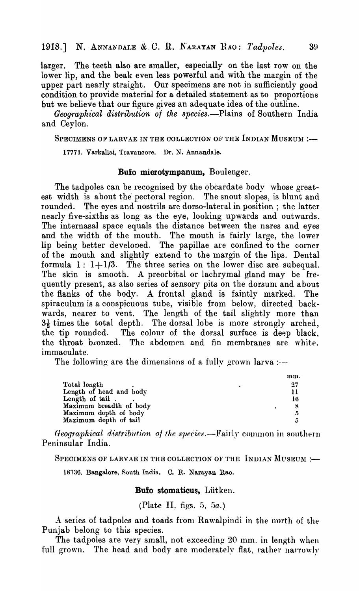larger. The teeth also are smaller, especially on the last row on the lower lip, and the beak even less powerful and with the margin of the upper part nearly straight. Our specimens are not in sufficiently good condition to provide material for a detailed statement as to proportions but we believe that our figure gives an adequate idea of the outline.

*Geographical distribution of the species.-Plains* of Southern India and Ceylon.

SPECIMENS OF LARVAE IN THE COLLECTION OF THE INDIAN MUSEUM :-

17771. Varkallai. Travancore. Dr. N. Annandale.

### **Bufo** microtympanum, Boulenger.

The tadpoles can be recognised by the obcardate body whose greatest width is about the pectoral region. The snout slopes, is blunt and rounded. The eyes and nostrils are dorso-Iateral in position; the latter nearly five-sixths as long as the eye, looking upwards and outwards. The internasal space equals the distance between the nares and eyes and the width of the mouth. The mouth is fairly large, the lower lip being better developed. The papillae are confined to the corner of the mouth and slightly extend to the margin of the lips. Dental formula  $1: 1+1/3$ . The three series on the lower disc are subequal. The skin is smooth. A preorbital or lachrymal gland may be frequently present, as also series of sensory pits on the dorsum and about the flanks of the body. A frontal gland is faintly marked. The spiraculum is a conspicuous tube, visible from below, directed backwards, nearer to vent. The length of the tail slightly more than  $3\frac{1}{2}$  times the total depth. The dorsal lobe is more strongly arched, the tip rounded. The colour of the dorsal surface is deep black, the throat bronzed. The abdomen and fin membranes are white. immaculate.

The following are the dimensions of a fully grown larva :--

|                         |  | mm. |
|-------------------------|--|-----|
| Total length            |  | 27  |
| Length of head and body |  | 11  |
| Length of tail.         |  | 16  |
| Maximum breadth of body |  |     |
| Maximum depth of body   |  | 5   |
| Maximum depth of tail   |  | n   |

*Geographical distribution of the species.*—Fairly common in southern Peninsular India.

SPECIMENS OF LARVAE IN THE COLLECTION OF THE  $\Gamma$ INDIAN MUSEUM :-

18736. Bangalore, South India. C. R. Narayan Rao.

**Bufo** stomaticus, Liitken.

(Plate II, figs. 5, 5a.)

A series of tadpoles and toads from Rawalpindi in the north of the Punjab belong to this species.

The tadpoles are very small, not exceeding  $20 \text{ mm}$ . in length when full grown. The head and body are moderately flat, rather narrowly